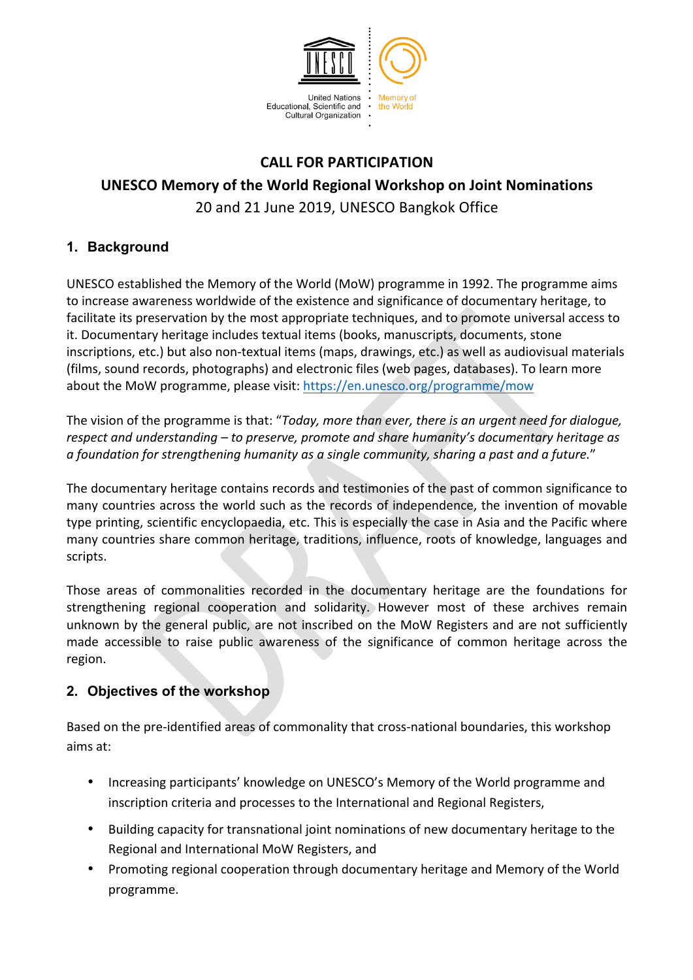

# **CALL FOR PARTICIPATION UNESCO Memory of the World Regional Workshop on Joint Nominations** 20 and 21 June 2019, UNESCO Bangkok Office

# **1. Background**

UNESCO established the Memory of the World (MoW) programme in 1992. The programme aims to increase awareness worldwide of the existence and significance of documentary heritage, to facilitate its preservation by the most appropriate techniques, and to promote universal access to it. Documentary heritage includes textual items (books, manuscripts, documents, stone inscriptions, etc.) but also non-textual items (maps, drawings, etc.) as well as audiovisual materials (films, sound records, photographs) and electronic files (web pages, databases). To learn more about the MoW programme, please visit: https://en.unesco.org/programme/mow

The vision of the programme is that: "*Today, more than ever, there is an urgent need for dialogue, respect and understanding* – *to preserve, promote and share humanity's documentary heritage as* a foundation for strengthening humanity as a single community, sharing a past and a future."

The documentary heritage contains records and testimonies of the past of common significance to many countries across the world such as the records of independence, the invention of movable type printing, scientific encyclopaedia, etc. This is especially the case in Asia and the Pacific where many countries share common heritage, traditions, influence, roots of knowledge, languages and scripts. 

Those areas of commonalities recorded in the documentary heritage are the foundations for strengthening regional cooperation and solidarity. However most of these archives remain unknown by the general public, are not inscribed on the MoW Registers and are not sufficiently made accessible to raise public awareness of the significance of common heritage across the region. 

## **2. Objectives of the workshop**

Based on the pre-identified areas of commonality that cross-national boundaries, this workshop aims at:

- Increasing participants' knowledge on UNESCO's Memory of the World programme and inscription criteria and processes to the International and Regional Registers,
- Building capacity for transnational joint nominations of new documentary heritage to the Regional and International MoW Registers, and
- Promoting regional cooperation through documentary heritage and Memory of the World programme.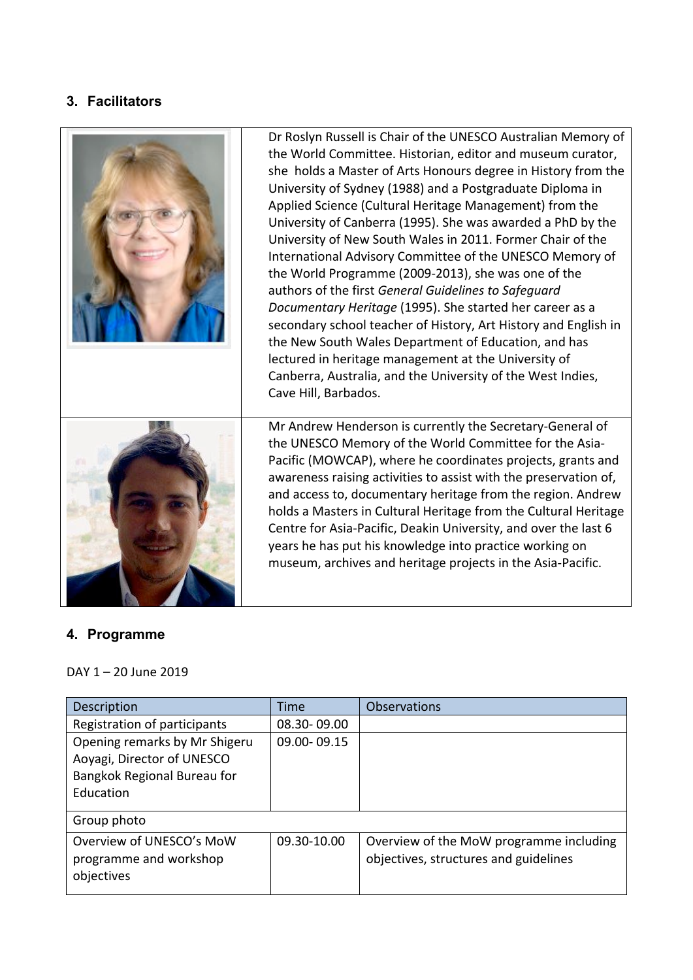### **3. Facilitators**



#### **4. Programme**

#### DAY  $1 - 20$  June  $2019$

| Description                                                                                             | Time        | <b>Observations</b>                                                              |
|---------------------------------------------------------------------------------------------------------|-------------|----------------------------------------------------------------------------------|
| Registration of participants                                                                            | 08.30-09.00 |                                                                                  |
| Opening remarks by Mr Shigeru<br>Aoyagi, Director of UNESCO<br>Bangkok Regional Bureau for<br>Education | 09.00-09.15 |                                                                                  |
| Group photo                                                                                             |             |                                                                                  |
| Overview of UNESCO's MoW<br>programme and workshop<br>objectives                                        | 09.30-10.00 | Overview of the MoW programme including<br>objectives, structures and guidelines |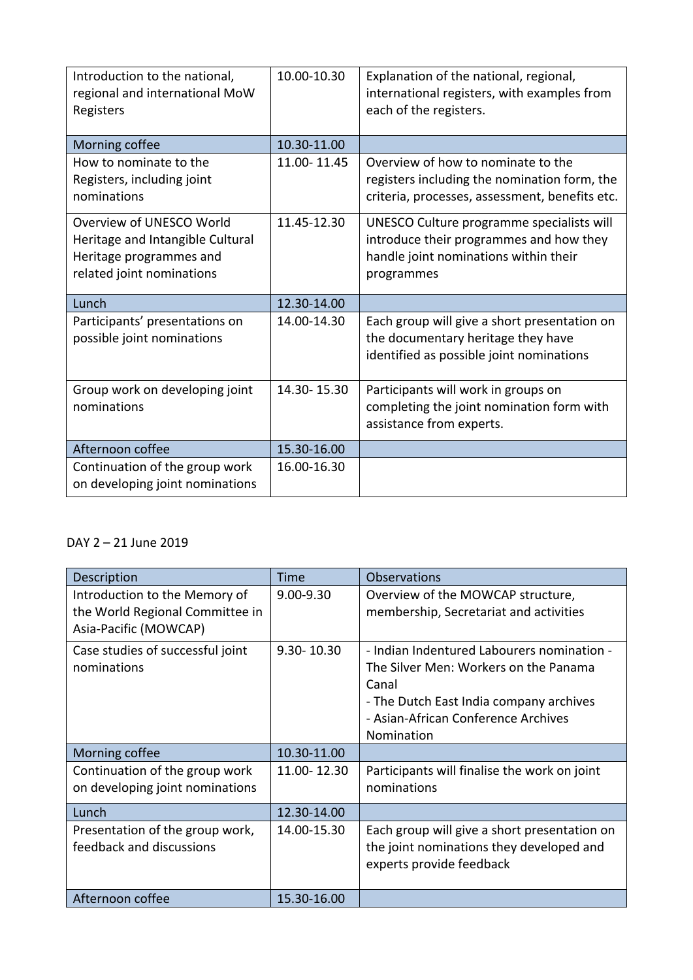| Introduction to the national,<br>regional and international MoW<br>Registers                                         | 10.00-10.30 | Explanation of the national, regional,<br>international registers, with examples from<br>each of the registers.                             |
|----------------------------------------------------------------------------------------------------------------------|-------------|---------------------------------------------------------------------------------------------------------------------------------------------|
| Morning coffee                                                                                                       | 10.30-11.00 |                                                                                                                                             |
| How to nominate to the<br>Registers, including joint<br>nominations                                                  | 11.00-11.45 | Overview of how to nominate to the<br>registers including the nomination form, the<br>criteria, processes, assessment, benefits etc.        |
| Overview of UNESCO World<br>Heritage and Intangible Cultural<br>Heritage programmes and<br>related joint nominations | 11.45-12.30 | UNESCO Culture programme specialists will<br>introduce their programmes and how they<br>handle joint nominations within their<br>programmes |
| Lunch                                                                                                                | 12.30-14.00 |                                                                                                                                             |
| Participants' presentations on<br>possible joint nominations                                                         | 14.00-14.30 | Each group will give a short presentation on<br>the documentary heritage they have<br>identified as possible joint nominations              |
| Group work on developing joint<br>nominations                                                                        | 14.30-15.30 | Participants will work in groups on<br>completing the joint nomination form with<br>assistance from experts.                                |
| Afternoon coffee                                                                                                     | 15.30-16.00 |                                                                                                                                             |
| Continuation of the group work<br>on developing joint nominations                                                    | 16.00-16.30 |                                                                                                                                             |

#### DAY 2 - 21 June 2019

| Description                                                                               | Time           | <b>Observations</b>                                                                                                                                                                          |
|-------------------------------------------------------------------------------------------|----------------|----------------------------------------------------------------------------------------------------------------------------------------------------------------------------------------------|
| Introduction to the Memory of<br>the World Regional Committee in<br>Asia-Pacific (MOWCAP) | $9.00 - 9.30$  | Overview of the MOWCAP structure,<br>membership, Secretariat and activities                                                                                                                  |
| Case studies of successful joint<br>nominations                                           | $9.30 - 10.30$ | - Indian Indentured Labourers nomination -<br>The Silver Men: Workers on the Panama<br>Canal<br>- The Dutch East India company archives<br>- Asian-African Conference Archives<br>Nomination |
| Morning coffee                                                                            | 10.30-11.00    |                                                                                                                                                                                              |
| Continuation of the group work<br>on developing joint nominations                         | 11.00 - 12.30  | Participants will finalise the work on joint<br>nominations                                                                                                                                  |
| Lunch                                                                                     | 12.30-14.00    |                                                                                                                                                                                              |
| Presentation of the group work,<br>feedback and discussions                               | 14.00-15.30    | Each group will give a short presentation on<br>the joint nominations they developed and<br>experts provide feedback                                                                         |
| Afternoon coffee                                                                          | 15.30-16.00    |                                                                                                                                                                                              |